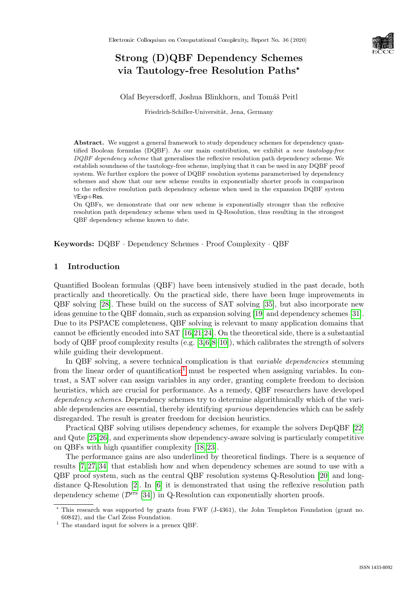

# Strong (D)QBF Dependency Schemes via Tautology-free Resolution Paths?

Olaf Beyersdorff, Joshua Blinkhorn, and Tomáš Peitl

Friedrich-Schiller-Universität, Jena, Germany

Abstract. We suggest a general framework to study dependency schemes for dependency quantified Boolean formulas (DQBF). As our main contribution, we exhibit a new tautology-free DQBF dependency scheme that generalises the reflexive resolution path dependency scheme. We establish soundness of the tautology-free scheme, implying that it can be used in any DQBF proof system. We further explore the power of DQBF resolution systems parameterised by dependency schemes and show that our new scheme results in exponentially shorter proofs in comparison to the reflexive resolution path dependency scheme when used in the expansion DQBF system ∀Exp+Res.

On QBFs, we demonstrate that our new scheme is exponentially stronger than the reflexive resolution path dependency scheme when used in Q-Resolution, thus resulting in the strongest QBF dependency scheme known to date.

Keywords: DQBF · Dependency Schemes · Proof Complexity · QBF

### 1 Introduction

Quantified Boolean formulas (QBF) have been intensively studied in the past decade, both practically and theoretically. On the practical side, there have been huge improvements in QBF solving [\[28\]](#page--1-0). These build on the success of SAT solving [\[35\]](#page--1-1), but also incorporate new ideas genuine to the QBF domain, such as expansion solving [\[19\]](#page--1-2) and dependency schemes [\[31\]](#page--1-3). Due to its PSPACE completeness, QBF solving is relevant to many application domains that cannot be efficiently encoded into SAT [\[16,](#page--1-4)[21,](#page--1-5)[24\]](#page--1-6). On the theoretical side, there is a substantial body of QBF proof complexity results  $(e.g. [3,6,8-10])$  $(e.g. [3,6,8-10])$  $(e.g. [3,6,8-10])$  $(e.g. [3,6,8-10])$  $(e.g. [3,6,8-10])$  $(e.g. [3,6,8-10])$ , which calibrates the strength of solvers while guiding their development.

In QBF solving, a severe technical complication is that *variable dependencies* stemming from the linear order of quantification<sup>[1](#page-0-0)</sup> must be respected when assigning variables. In contrast, a SAT solver can assign variables in any order, granting complete freedom to decision heuristics, which are crucial for performance. As a remedy, QBF researchers have developed dependency schemes. Dependency schemes try to determine algorithmically which of the variable dependencies are essential, thereby identifying spurious dependencies which can be safely disregarded. The result is greater freedom for decision heuristics.

Practical QBF solving utilises dependency schemes, for example the solvers DepQBF [\[22\]](#page--1-11) and Qute [\[25,](#page--1-12)[26\]](#page--1-13), and experiments show dependency-aware solving is particularly competitive on QBFs with high quantifier complexity [\[18,](#page--1-14) [23\]](#page--1-15).

The performance gains are also underlined by theoretical findings. There is a sequence of results [\[7,](#page--1-16) [27,](#page--1-17) [34\]](#page--1-18) that establish how and when dependency schemes are sound to use with a  $QBF$  proof system, such as the central  $QBF$  resolution systems  $Q-R$ esolution [\[20\]](#page--1-19) and longdistance Q-Resolution [\[2\]](#page--1-20). In [\[6\]](#page--1-8) it is demonstrated that using the reflexive resolution path dependency scheme  $(\mathcal{D}^{rrs}$  [\[34\]](#page--1-18)) in Q-Resolution can exponentially shorten proofs.

<sup>?</sup> This research was supported by grants from FWF (J-4361), the John Templeton Foundation (grant no. 60842), and the Carl Zeiss Foundation.

<span id="page-0-0"></span><sup>&</sup>lt;sup>1</sup> The standard input for solvers is a prenex QBF.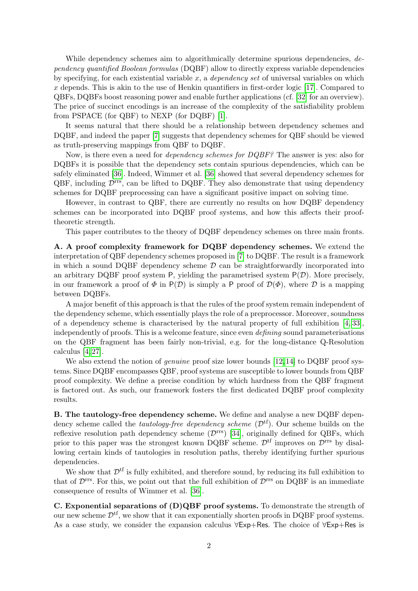While dependency schemes aim to algorithmically determine spurious dependencies, dependency quantified Boolean formulas (DQBF) allow to directly express variable dependencies by specifying, for each existential variable  $x$ , a *dependency set* of universal variables on which  $x$  depends. This is akin to the use of Henkin quantifiers in first-order logic [\[17\]](#page-13-0). Compared to QBFs, DQBFs boost reasoning power and enable further applications (cf. [\[32\]](#page--1-21) for an overview). The price of succinct encodings is an increase of the complexity of the satisfiability problem from PSPACE (for QBF) to NEXP (for DQBF) [\[1\]](#page-13-1).

It seems natural that there should be a relationship between dependency schemes and DQBF, and indeed the paper [\[7\]](#page-13-2) suggests that dependency schemes for QBF should be viewed as truth-preserving mappings from QBF to DQBF.

Now, is there even a need for dependency schemes for DQBF? The answer is yes: also for DQBFs it is possible that the dependency sets contain spurious dependencies, which can be safely eliminated [\[36\]](#page--1-22). Indeed, Wimmer et al. [\[36\]](#page--1-22) showed that several dependency schemes for  $QBF$ , including  $\mathcal{D}^{\text{rrs}}$ , can be lifted to DQBF. They also demonstrate that using dependency schemes for DQBF preprocessing can have a significant positive impact on solving time.

However, in contrast to QBF, there are currently no results on how DQBF dependency schemes can be incorporated into DQBF proof systems, and how this affects their prooftheoretic strength.

This paper contributes to the theory of DQBF dependency schemes on three main fronts.

A. A proof complexity framework for DQBF dependency schemes. We extend the interpretation of QBF dependency schemes proposed in [\[7\]](#page-13-2) to DQBF. The result is a framework in which a sound DQBF dependency scheme  $\mathcal D$  can be straightforwardly incorporated into an arbitrary DQBF proof system P, yielding the parametrised system  $P(\mathcal{D})$ . More precisely, in our framework a proof of  $\Phi$  in  $P(\mathcal{D})$  is simply a P proof of  $\mathcal{D}(\Phi)$ , where  $\mathcal D$  is a mapping between DQBFs.

A major benefit of this approach is that the rules of the proof system remain independent of the dependency scheme, which essentially plays the role of a preprocessor. Moreover, soundness of a dependency scheme is characterised by the natural property of full exhibition [\[4,](#page-13-3) [33\]](#page--1-23), independently of proofs. This is a welcome feature, since even *defining* sound parameterisations on the QBF fragment has been fairly non-trivial, e.g. for the long-distance Q-Resolution calculus [\[4,](#page-13-3) [27\]](#page--1-17).

We also extend the notion of *genuine* proof size lower bounds [\[12,](#page-13-4) [14\]](#page-13-5) to DQBF proof systems. Since DQBF encompasses QBF, proof systems are susceptible to lower bounds from QBF proof complexity. We define a precise condition by which hardness from the QBF fragment is factored out. As such, our framework fosters the first dedicated DQBF proof complexity results.

B. The tautology-free dependency scheme. We define and analyse a new DQBF dependency scheme called the *tautology-free dependency scheme* ( $\mathcal{D}^{tf}$ ). Our scheme builds on the reflexive resolution path dependency scheme  $(\mathcal{D}^{rrs})$  [\[34\]](#page--1-18), originally defined for QBFs, which prior to this paper was the strongest known DQBF scheme.  $\mathcal{D}^{\text{tf}}$  improves on  $\mathcal{D}^{\text{rrs}}$  by disallowing certain kinds of tautologies in resolution paths, thereby identifying further spurious dependencies.

We show that  $\mathcal{D}^{\text{tf}}$  is fully exhibited, and therefore sound, by reducing its full exhibition to that of  $\mathcal{D}^{\text{rrs}}$ . For this, we point out that the full exhibition of  $\mathcal{D}^{\text{rrs}}$  on DQBF is an immediate consequence of results of Wimmer et al. [\[36\]](#page--1-22).

C. Exponential separations of (D)QBF proof systems. To demonstrate the strength of our new scheme  $\mathcal{D}^{tf}$ , we show that it can exponentially shorten proofs in DQBF proof systems. As a case study, we consider the expansion calculus ∀Exp+Res. The choice of ∀Exp+Res is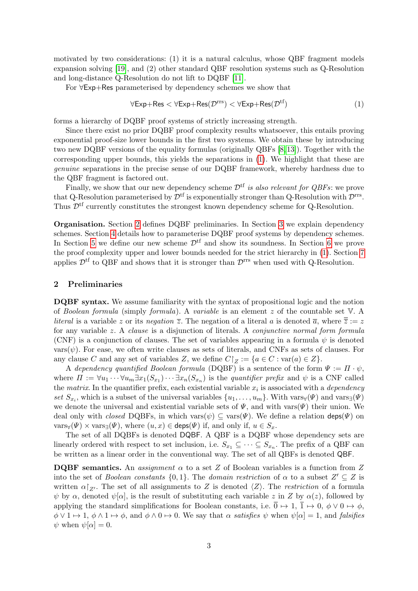motivated by two considerations: (1) it is a natural calculus, whose QBF fragment models expansion solving [\[19\]](#page-13-6), and (2) other standard QBF resolution systems such as Q-Resolution and long-distance Q-Resolution do not lift to DQBF [\[11\]](#page-13-7).

For ∀Exp+Res parameterised by dependency schemes we show that

<span id="page-2-0"></span>
$$
\forall \text{Exp+Res} < \forall \text{Exp+Res}(\mathcal{D}^{\text{rrs}}) < \forall \text{Exp+Res}(\mathcal{D}^{\text{tf}})
$$
 (1)

forms a hierarchy of DQBF proof systems of strictly increasing strength.

Since there exist no prior DQBF proof complexity results whatsoever, this entails proving exponential proof-size lower bounds in the first two systems. We obtain these by introducing two new DQBF versions of the equality formulas (originally QBFs [\[8,](#page-13-8) [13\]](#page-13-9)). Together with the corresponding upper bounds, this yields the separations in [\(1\)](#page-2-0). We highlight that these are genuine separations in the precise sense of our DQBF framework, whereby hardness due to the QBF fragment is factored out.

Finally, we show that our new dependency scheme  $\mathcal{D}^{tf}$  is also relevant for QBFs: we prove that Q-Resolution parameterised by  $\mathcal{D}^{tf}$  is exponentially stronger than Q-Resolution with  $\mathcal{D}^{rrs}$ . Thus  $\mathcal{D}^{\text{tf}}$  currently constitutes the strongest known dependency scheme for Q-Resolution.

Organisation. Section [2](#page-2-1) defines DQBF preliminaries. In Section [3](#page-3-0) we explain dependency schemes. Section [4](#page-4-0) details how to parameterise DQBF proof systems by dependency schemes. In Section [5](#page-6-0) we define our new scheme  $\mathcal{D}^{tf}$  and show its soundness. In Section [6](#page-7-0) we prove the proof complexity upper and lower bounds needed for the strict hierarchy in [\(1\)](#page-2-0). Section [7](#page-11-0) applies  $\mathcal{D}^{\text{tf}}$  to QBF and shows that it is stronger than  $\mathcal{D}^{\text{rrs}}$  when used with Q-Resolution.

### <span id="page-2-1"></span>2 Preliminaries

DQBF syntax. We assume familiarity with the syntax of propositional logic and the notion of Boolean formula (simply formula). A variable is an element z of the countable set V. A *literal* is a variable z or its negation  $\overline{z}$ . The negation of a literal a is denoted  $\overline{a}$ , where  $\overline{\overline{z}} := z$ for any variable z. A clause is a disjunction of literals. A conjunctive normal form formula (CNF) is a conjunction of clauses. The set of variables appearing in a formula  $\psi$  is denoted  $\text{vars}(\psi)$ . For ease, we often write clauses as sets of literals, and CNFs as sets of clauses. For any clause C and any set of variables Z, we define  $C|_Z := \{a \in C : \text{var}(a) \in Z\}.$ 

A dependency quantified Boolean formula (DQBF) is a sentence of the form  $\Psi := \Pi \cdot \psi$ , where  $\Pi := \forall u_1 \cdots \forall u_m \exists x_1 (S_{x_1}) \cdots \exists x_n (S_{x_n})$  is the *quantifier prefix* and  $\psi$  is a CNF called the *matrix*. In the quantifier prefix, each existential variable  $x_i$  is associated with a *dependency* set  $S_{x_i}$ , which is a subset of the universal variables  $\{u_1, \ldots, u_m\}$ . With vars $\forall(\Psi)$  and vars $\nexists(\Psi)$ we denote the universal and existential variable sets of  $\Psi$ , and with vars $(\Psi)$  their union. We deal only with *closed* DQBFs, in which vars $(\psi) \subseteq \text{vars}(\Psi)$ . We define a relation deps $(\Psi)$  on  $\text{vars}_{\forall}(\Psi) \times \text{vars}_{\exists}(\Psi)$ , where  $(u, x) \in \text{deps}(\Psi)$  if, and only if,  $u \in S_x$ .

The set of all DQBFs is denoted DQBF. A QBF is a DQBF whose dependency sets are linearly ordered with respect to set inclusion, i.e.  $S_{x_1} \subseteq \cdots \subseteq S_{x_n}$ . The prefix of a QBF can be written as a linear order in the conventional way. The set of all QBFs is denoted QBF.

**DQBF** semantics. An assignment  $\alpha$  to a set Z of Boolean variables is a function from Z into the set of *Boolean constants*  $\{0,1\}$ . The *domain restriction* of  $\alpha$  to a subset  $Z' \subseteq Z$  is written  $\alpha|_{Z'}$ . The set of all assignments to Z is denoted  $\langle Z \rangle$ . The *restriction* of a formula  $\psi$  by  $\alpha$ , denoted  $\psi[\alpha]$ , is the result of substituting each variable z in Z by  $\alpha(z)$ , followed by applying the standard simplifications for Boolean constants, i.e.  $\overline{0} \mapsto 1$ ,  $\overline{1} \mapsto 0$ ,  $\phi \vee 0 \mapsto \phi$ ,  $\phi \vee 1 \mapsto 1$ ,  $\phi \wedge 1 \mapsto \phi$ , and  $\phi \wedge 0 \mapsto 0$ . We say that  $\alpha$  satisfies  $\psi$  when  $\psi[\alpha] = 1$ , and falsifies  $\psi$  when  $\psi[\alpha] = 0$ .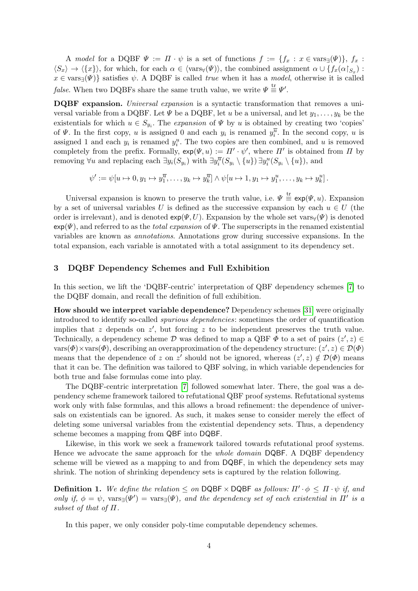A model for a DQBF  $\Psi := \Pi \cdot \psi$  is a set of functions  $f := \{f_x : x \in \text{vars}_{\exists}(\Psi)\}\text{, } f_x$ :  $\langle S_x \rangle \to \langle \{x\} \rangle$ , for which, for each  $\alpha \in \langle \text{vars}_{\forall}(\Psi) \rangle$ , the combined assignment  $\alpha \cup \{f_x(\alpha|_{S_x})\}$ :  $x \in \text{vars}_{\exists}(\Psi)$  satisfies  $\psi$ . A DQBF is called true when it has a model, otherwise it is called *false*. When two DQBFs share the same truth value, we write  $\Psi \stackrel{\text{tr}}{=} \Psi'$ .

DQBF expansion. Universal expansion is a syntactic transformation that removes a universal variable from a DQBF. Let  $\Psi$  be a DQBF, let u be a universal, and let  $y_1, \ldots, y_k$  be the existentials for which  $u \in S_{y_i}$ . The *expansion* of  $\Psi$  by u is obtained by creating two 'copies' of  $\Psi$ . In the first copy, u is assigned 0 and each  $y_i$  is renamed  $y_i^{\overline{u}}$ . In the second copy, u is assigned 1 and each  $y_i$  is renamed  $y_i^u$ . The two copies are then combined, and u is removed completely from the prefix. Formally,  $exp(\Psi, u) := \Pi' \cdot \psi'$ , where  $\Pi'$  is obtained from  $\Pi$  by removing  $\forall u$  and replacing each  $\exists y_i(S_{y_i})$  with  $\exists y_i^{\overline{u}}(S_{y_i} \setminus \{u\}) \exists y_i^u(S_{y_i} \setminus \{u\})$ , and

$$
\psi' := \psi[u \mapsto 0, y_1 \mapsto y_1^{\overline{u}}, \dots, y_k \mapsto y_k^{\overline{u}}] \wedge \psi[u \mapsto 1, y_1 \mapsto y_1^u, \dots, y_k \mapsto y_k^u].
$$

Universal expansion is known to preserve the truth value, i.e.  $\Psi \equiv \exp(\Psi, u)$ . Expansion by a set of universal variables U is defined as the successive expansion by each  $u \in U$  (the order is irrelevant), and is denoted  $exp(\Psi, U)$ . Expansion by the whole set vars $\forall(\Psi)$  is denoted  $\exp(\Psi)$ , and referred to as the *total expansion* of  $\Psi$ . The superscripts in the renamed existential variables are known as annotations. Annotations grow during successive expansions. In the total expansion, each variable is annotated with a total assignment to its dependency set.

#### <span id="page-3-0"></span>3 DQBF Dependency Schemes and Full Exhibition

In this section, we lift the 'DQBF-centric' interpretation of QBF dependency schemes [\[7\]](#page-13-2) to the DQBF domain, and recall the definition of full exhibition.

How should we interpret variable dependence? Dependency schemes [\[31\]](#page--1-3) were originally introduced to identify so-called spurious dependencies: sometimes the order of quantification implies that z depends on  $z'$ , but forcing z to be independent preserves the truth value. Technically, a dependency scheme  $D$  was defined to map a QBF  $\Phi$  to a set of pairs  $(z', z) \in$  $vars(\Phi) \times vars(\Phi)$ , describing an overapproximation of the dependency structure:  $(z', z) \in \mathcal{D}(\Phi)$ means that the dependence of z on z' should not be ignored, whereas  $(z', z) \notin \mathcal{D}(\Phi)$  means that it can be. The definition was tailored to QBF solving, in which variable dependencies for both true and false formulas come into play.

The DQBF-centric interpretation [\[7\]](#page-13-2) followed somewhat later. There, the goal was a dependency scheme framework tailored to refutational QBF proof systems. Refutational systems work only with false formulas, and this allows a broad refinement: the dependence of universals on existentials can be ignored. As such, it makes sense to consider merely the effect of deleting some universal variables from the existential dependency sets. Thus, a dependency scheme becomes a mapping from QBF into DQBF.

Likewise, in this work we seek a framework tailored towards refutational proof systems. Hence we advocate the same approach for the *whole domain* DQBF. A DQBF dependency scheme will be viewed as a mapping to and from DQBF, in which the dependency sets may shrink. The notion of shrinking dependency sets is captured by the relation following.

**Definition 1.** We define the relation  $\leq$  on DQBF  $\times$  DQBF as follows:  $\Pi' \cdot \phi \leq \Pi \cdot \psi$  if, and only if,  $\phi = \psi$ , vars<sub>∃</sub>( $\Psi'$ ) = vars<sub>∃</sub>( $\Psi$ ), and the dependency set of each existential in  $\Pi'$  is a subset of that of  $\Pi$ .

<span id="page-3-1"></span>In this paper, we only consider poly-time computable dependency schemes.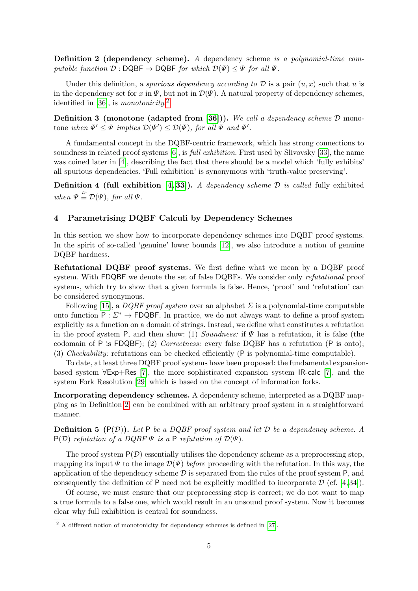Definition 2 (dependency scheme). A dependency scheme is a polynomial-time computable function  $\mathcal{D}: \mathsf{DQBF} \to \mathsf{DQBF}$  for which  $\mathcal{D}(\Psi) \leq \Psi$  for all  $\Psi$ .

Under this definition, a *spurious dependency according to*  $D$  is a pair  $(u, x)$  such that u is in the dependency set for x in  $\Psi$ , but not in  $\mathcal{D}(\Psi)$ . A natural property of dependency schemes, identified in [\[36\]](#page--1-22), is *monotonicity*.<sup>[2](#page-4-1)</sup>

**Definition 3 (monotone (adapted from [\[36\]](#page--1-22))).** We call a dependency scheme  $D$  monotone when  $\Psi' \leq \Psi$  implies  $\mathcal{D}(\Psi') \leq \mathcal{D}(\Psi)$ , for all  $\Psi$  and  $\Psi'$ .

A fundamental concept in the DQBF-centric framework, which has strong connections to soundness in related proof systems  $[6]$ , is *full exhibition*. First used by Slivovsky [\[33\]](#page--1-23), the name was coined later in [\[4\]](#page-13-3), describing the fact that there should be a model which 'fully exhibits' all spurious dependencies. 'Full exhibition' is synonymous with 'truth-value preserving'.

**Definition 4 (full exhibition [\[4,](#page-13-3) [33\]](#page--1-23)).** A dependency scheme  $\mathcal{D}$  is called fully exhibited when  $\Psi \stackrel{tr}{=} \mathcal{D}(\Psi)$ , for all  $\Psi$ .

### <span id="page-4-0"></span>4 Parametrising DQBF Calculi by Dependency Schemes

In this section we show how to incorporate dependency schemes into DQBF proof systems. In the spirit of so-called 'genuine' lower bounds [\[12\]](#page-13-4), we also introduce a notion of genuine DQBF hardness.

Refutational DQBF proof systems. We first define what we mean by a DQBF proof system. With FDQBF we denote the set of false DQBFs. We consider only refutational proof systems, which try to show that a given formula is false. Hence, 'proof' and 'refutation' can be considered synonymous.

Following [\[15\]](#page-13-11), a DQBF proof system over an alphabet  $\Sigma$  is a polynomial-time computable onto function  $P: \Sigma^* \to \mathsf{FDQBF}$ . In practice, we do not always want to define a proof system explicitly as a function on a domain of strings. Instead, we define what constitutes a refutation in the proof system P, and then show: (1) Soundness: if  $\Psi$  has a refutation, it is false (the codomain of P is FDQBF); (2) Correctness: every false DQBF has a refutation (P is onto); (3) Checkability: refutations can be checked efficiently (P is polynomial-time computable).

To date, at least three DQBF proof systems have been proposed: the fundamental expansionbased system ∀Exp+Res [\[7\]](#page-13-2), the more sophisticated expansion system IR-calc [\[7\]](#page-13-2), and the system Fork Resolution [\[29\]](#page--1-24) which is based on the concept of information forks.

Incorporating dependency schemes. A dependency scheme, interpreted as a DQBF mapping as in Definition [2,](#page-3-1) can be combined with an arbitrary proof system in a straightforward manner.

**Definition 5**  $(P(D))$ . Let P be a DQBF proof system and let D be a dependency scheme. A  $P(D)$  refutation of a DQBF  $\Psi$  is a P refutation of  $D(\Psi)$ .

The proof system  $P(\mathcal{D})$  essentially utilises the dependency scheme as a preprocessing step, mapping its input  $\Psi$  to the image  $\mathcal{D}(\Psi)$  before proceeding with the refutation. In this way, the application of the dependency scheme  $\mathcal D$  is separated from the rules of the proof system P, and consequently the definition of P need not be explicitly modified to incorporate  $\mathcal{D}$  (cf. [\[4,](#page-13-3) [34\]](#page--1-18)).

Of course, we must ensure that our preprocessing step is correct; we do not want to map a true formula to a false one, which would result in an unsound proof system. Now it becomes clear why full exhibition is central for soundness.

<span id="page-4-2"></span><span id="page-4-1"></span> $2 \text{ A different notion of monotonicity for dependency schemes is defined in [27].}$  $2 \text{ A different notion of monotonicity for dependency schemes is defined in [27].}$  $2 \text{ A different notion of monotonicity for dependency schemes is defined in [27].}$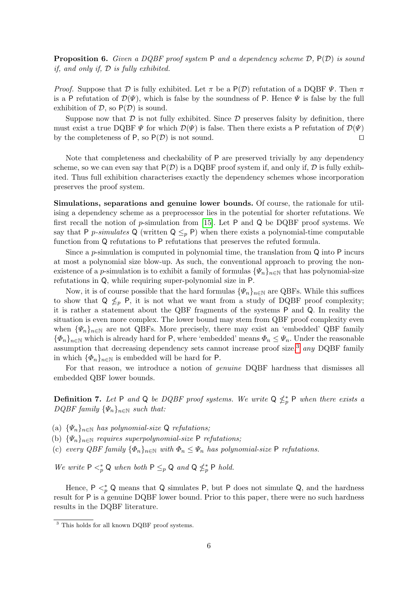**Proposition 6.** Given a DQBF proof system P and a dependency scheme  $D$ ,  $P(D)$  is sound if, and only if, D is fully exhibited.

*Proof.* Suppose that D is fully exhibited. Let  $\pi$  be a P(D) refutation of a DQBF  $\Psi$ . Then  $\pi$ is a P refutation of  $\mathcal{D}(\Psi)$ , which is false by the soundness of P. Hence  $\Psi$  is false by the full exhibition of  $D$ , so  $P(D)$  is sound.

Suppose now that  $\mathcal D$  is not fully exhibited. Since  $\mathcal D$  preserves falsity by definition, there must exist a true DQBF  $\Psi$  for which  $\mathcal{D}(\Psi)$  is false. Then there exists a P refutation of  $\mathcal{D}(\Psi)$ by the completeness of P, so  $P(\mathcal{D})$  is not sound.

Note that completeness and checkability of P are preserved trivially by any dependency scheme, so we can even say that  $P(D)$  is a DQBF proof system if, and only if, D is fully exhibited. Thus full exhibition characterises exactly the dependency schemes whose incorporation preserves the proof system.

Simulations, separations and genuine lower bounds. Of course, the rationale for utilising a dependency scheme as a preprocessor lies in the potential for shorter refutations. We first recall the notion of  $p$ -simulation from [\[15\]](#page-13-11). Let  $P$  and  $Q$  be DQBF proof systems. We say that P p-simulates Q (written  $Q \leq_p P$ ) when there exists a polynomial-time computable function from Q refutations to P refutations that preserves the refuted formula.

Since a p-simulation is computed in polynomial time, the translation from Q into P incurs at most a polynomial size blow-up. As such, the conventional approach to proving the nonexistence of a p-simulation is to exhibit a family of formulas  $\{\Psi_n\}_{n\in\mathbb{N}}$  that has polynomial-size refutations in Q, while requiring super-polynomial size in P.

Now, it is of course possible that the hard formulas  $\{\Psi_n\}_{n\in\mathbb{N}}$  are QBFs. While this suffices to show that  $Q \nleq_p P$ , it is not what we want from a study of DQBF proof complexity; it is rather a statement about the QBF fragments of the systems P and Q. In reality the situation is even more complex. The lower bound may stem from QBF proof complexity even when  $\{\Psi_n\}_{n\in\mathbb{N}}$  are not QBFs. More precisely, there may exist an 'embedded' QBF family  ${\{\Phi_n\}}_{n\in\mathbb{N}}$  which is already hard for P, where 'embedded' means  $\Phi_n \leq \Psi_n$ . Under the reasonable assumption that decreasing dependency sets cannot increase proof size,<sup>[3](#page-5-0)</sup> any DQBF family in which  $\{\Phi_n\}_{n\in\mathbb{N}}$  is embedded will be hard for P.

For that reason, we introduce a notion of *genuine* DQBF hardness that dismisses all embedded QBF lower bounds.

<span id="page-5-1"></span>**Definition 7.** Let P and Q be DQBF proof systems. We write  $Q \nleq^*_{p} P$  when there exists a  $DQBF$  family  $\{\Psi_n\}_{n\in\mathbb{N}}$  such that:

- (a)  $\{\Psi_n\}_{n\in\mathbb{N}}$  has polynomial-size Q refutations;
- (b)  $\{\Psi_n\}_{n\in\mathbb{N}}$  requires superpolynomial-size P refutations;
- (c) every QBF family  $\{\Phi_n\}_{n\in\mathbb{N}}$  with  $\Phi_n \leq \Psi_n$  has polynomial-size P refutations.

We write  $P \leq^*_{p} Q$  when both  $P \leq^*_{p} Q$  and  $Q \nleq^*_{p} P$  hold.

Hence,  $P \leq^*_{p} Q$  means that Q simulates P, but P does not simulate Q, and the hardness result for P is a genuine DQBF lower bound. Prior to this paper, there were no such hardness results in the DQBF literature.

<span id="page-5-0"></span><sup>&</sup>lt;sup>3</sup> This holds for all known DQBF proof systems.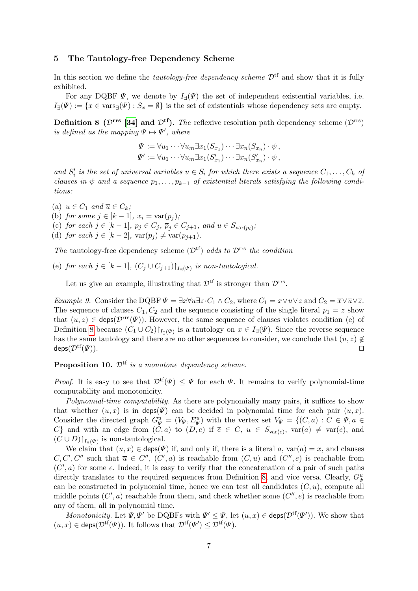#### <span id="page-6-0"></span>5 The Tautology-free Dependency Scheme

In this section we define the *tautology-free dependency scheme*  $\mathcal{D}^{tf}$  and show that it is fully exhibited.

For any DQBF  $\Psi$ , we denote by  $I_{\exists}(\Psi)$  the set of independent existential variables, i.e.  $I_{\exists}(\Psi) := \{x \in \text{vars}_{\exists}(\Psi) : S_x = \emptyset\}$  is the set of existentials whose dependency sets are empty.

<span id="page-6-1"></span>**Definition 8** ( $\mathcal{D}^{\text{rrs}}$  [\[34\]](#page--1-18) and  $\mathcal{D}^{\text{tf}}$ ). The reflexive resolution path dependency scheme ( $\mathcal{D}^{\text{rrs}}$ ) is defined as the mapping  $\Psi \mapsto \Psi'$ , where

$$
\Psi := \forall u_1 \cdots \forall u_m \exists x_1 (S_{x_1}) \cdots \exists x_n (S_{x_n}) \cdot \psi,
$$
  

$$
\Psi' := \forall u_1 \cdots \forall u_m \exists x_1 (S'_{x_1}) \cdots \exists x_n (S'_{x_n}) \cdot \psi,
$$

and  $S_i'$  is the set of universal variables  $u \in S_i$  for which there exists a sequence  $C_1, \ldots, C_k$  of clauses in  $\psi$  and a sequence  $p_1, \ldots, p_{k-1}$  of existential literals satisfying the following conditions:

(a)  $u \in C_1$  and  $\overline{u} \in C_k$ ;

- (b) for some  $j \in [k-1], x_i = \text{var}(p_i);$
- (c) for each  $j \in [k-1]$ ,  $p_j \in C_j$ ,  $\overline{p}_j \in C_{j+1}$ , and  $u \in S_{var(p_i)}$ ;
- (d) for each  $j \in [k-2]$ ,  $var(p_i) \neq var(p_{i+1})$ .

The tautology-free dependency scheme  $(\mathcal{D}^{tf})$  adds to  $\mathcal{D}^{rrs}$  the condition

(e) for each  $j \in [k-1]$ ,  $(C_j \cup C_{j+1})|_{I_{\exists}(\Psi)}$  is non-tautological.

Let us give an example, illustrating that  $\mathcal{D}^{\text{tf}}$  is stronger than  $\mathcal{D}^{\text{rrs}}$ .

<span id="page-6-2"></span>Example 9. Consider the DQBF  $\Psi = \exists x \forall u \exists z \cdot C_1 \wedge C_2$ , where  $C_1 = x \vee u \vee z$  and  $C_2 = \overline{x} \vee \overline{u} \vee \overline{z}$ . The sequence of clauses  $C_1, C_2$  and the sequence consisting of the single literal  $p_1 = z$  show that  $(u, z) \in \text{deps}(\mathcal{D}^{rrs}(\Psi))$ . However, the same sequence of clauses violates condition (e) of Definition [8](#page-6-1) because  $(C_1 \cup C_2)$ <sub> $I_{\exists}(\Psi)$ </sub> is a tautology on  $x \in I_{\exists}(\Psi)$ . Since the reverse sequence has the same tautology and there are no other sequences to consider, we conclude that  $(u, z) \notin$  $\mathsf{deps}(\mathcal{D}^{\mathrm{tf}}(\Psi)).$ 

**Proposition 10.**  $\mathcal{D}^{\text{tf}}$  is a monotone dependency scheme.

*Proof.* It is easy to see that  $\mathcal{D}^{tf}(\Psi) \leq \Psi$  for each  $\Psi$ . It remains to verify polynomial-time computability and monotonicity.

Polynomial-time computability. As there are polynomially many pairs, it suffices to show that whether  $(u, x)$  is in deps( $\Psi$ ) can be decided in polynomial time for each pair  $(u, x)$ . Consider the directed graph  $G^u_{\Psi} = (V_{\Psi}, E^u_{\Psi})$  with the vertex set  $V_{\Psi} = \{(C, a) : C \in \Psi, a \in$ C} and with an edge from  $(C, a)$  to  $(D, e)$  if  $\overline{e} \in C$ ,  $u \in S_{var(e)}$ ,  $var(a) \neq var(e)$ , and  $(C \cup D)|_{I_{\exists}(\Psi)}$  is non-tautological.

We claim that  $(u, x) \in \text{deps}(\Psi)$  if, and only if, there is a literal a,  $var(a) = x$ , and clauses  $C, C', C''$  such that  $\overline{u} \in C'', (C', a)$  is reachable from  $(C, u)$  and  $(C'', e)$  is reachable from  $(C', a)$  for some e. Indeed, it is easy to verify that the concatenation of a pair of such paths directly translates to the required sequences from Definition [8,](#page-6-1) and vice versa. Clearly,  $G^u_\Psi$ can be constructed in polynomial time, hence we can test all candidates  $(C, u)$ , compute all middle points  $(C', a)$  reachable from them, and check whether some  $(C'', e)$  is reachable from any of them, all in polynomial time.

Monotonicity. Let  $\Psi, \Psi'$  be DQBFs with  $\Psi' \leq \Psi$ , let  $(u, x) \in \text{deps}(\mathcal{D}^{tf}(\Psi'))$ . We show that  $(u, x) \in \text{deps}(\mathcal{D}^{\text{tf}}(\Psi))$ . It follows that  $\mathcal{D}^{\text{tf}}(\Psi') \leq \mathcal{D}^{\text{tf}}(\Psi)$ .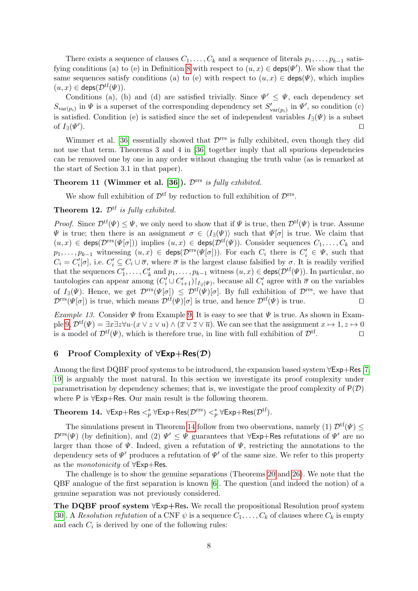There exists a sequence of clauses  $C_1, \ldots, C_k$  and a sequence of literals  $p_1, \ldots, p_{k-1}$  satis-fying conditions (a) to (e) in Definition [8](#page-6-1) with respect to  $(u, x) \in \text{deps}(\Psi')$ . We show that the same sequences satisfy conditions (a) to (e) with respect to  $(u, x) \in \text{deps}(\Psi)$ , which implies  $(u, x) \in \text{deps}(\mathcal{D}^{\text{tf}}(\Psi)).$ 

Conditions (a), (b) and (d) are satisfied trivially. Since  $\Psi' \leq \Psi$ , each dependency set  $S_{\text{var}(p_i)}$  in  $\Psi$  is a superset of the corresponding dependency set  $S'_{\text{var}(p_i)}$  in  $\Psi'$ , so condition (c) is satisfied. Condition (e) is satisfied since the set of independent variables  $I_{\exists}(\Psi)$  is a subset of  $I_{\exists}(\Psi')$ ).  $\Box$ 

Wimmer et al. [\[36\]](#page--1-22) essentially showed that  $\mathcal{D}^{\text{rrs}}$  is fully exhibited, even though they did not use that term. Theorems 3 and 4 in [\[36\]](#page--1-22) together imply that all spurious dependencies can be removed one by one in any order without changing the truth value (as is remarked at the start of Section 3.1 in that paper).

## Theorem 11 (Wimmer et al. [\[36\]](#page--1-22)).  $\mathcal{D}^{rrs}$  is fully exhibited.

We show full exhibition of  $\mathcal{D}^{\text{tf}}$  by reduction to full exhibition of  $\mathcal{D}^{\text{rrs}}$ .

## <span id="page-7-2"></span>**Theorem 12.**  $\mathcal{D}^{tf}$  is fully exhibited.

*Proof.* Since  $\mathcal{D}^{tf}(\Psi) \leq \Psi$ , we only need to show that if  $\Psi$  is true, then  $\mathcal{D}^{tf}(\Psi)$  is true. Assume  $\Psi$  is true; then there is an assignment  $\sigma \in \langle I_{\exists}(\Psi) \rangle$  such that  $\Psi[\sigma]$  is true. We claim that  $(u, x) \in \text{deps}(\mathcal{D}^{\text{rrs}}(\Psi[\sigma]))$  implies  $(u, x) \in \text{deps}(\mathcal{D}^{\text{tf}}(\Psi))$ . Consider sequences  $C_1, \ldots, C_k$  and  $p_1,\ldots,p_{k-1}$  witnessing  $(u,x) \in \text{deps}(\mathcal{D}^{\text{rrs}}(\Psi[\sigma]))$ . For each  $C_i$  there is  $C'_i \in \Psi$ , such that  $C_i = C_i'[\sigma]$ , i.e.  $C_i' \subseteq C_i \cup \overline{\sigma}$ , where  $\overline{\sigma}$  is the largest clause falsified by  $\sigma$ . It is readily verified that the sequences  $C'_1, \ldots, C'_k$  and  $p_1, \ldots, p_{k-1}$  witness  $(u, x) \in \text{deps}(\mathcal{D}^{\text{tf}}(\Psi))$ . In particular, no tautologies can appear among  $(C_i' \cup C_{i+1}')|_{I_{\exists}(\Psi)}$ , because all  $C_i'$  agree with  $\overline{\sigma}$  on the variables of  $I_{\exists}(\Psi)$ . Hence, we get  $\mathcal{D}^{\text{rrs}}(\Psi[\sigma]) \leq \mathcal{D}^{\text{tf}}(\Psi)[\sigma]$ . By full exhibition of  $\mathcal{D}^{\text{rrs}}$ , we have that  $\mathcal{D}^{rrs}(\Psi[\sigma])$  is true, which means  $\mathcal{D}^{tf}(\Psi)[\sigma]$  is true, and hence  $\mathcal{D}^{tf}(\Psi)$  is true.

Example 13. Consider  $\Psi$  from Example [9.](#page-6-2) It is easy to see that  $\Psi$  is true. As shown in Exam-ple [9,](#page-6-2)  $\mathcal{D}^{tf}(\Psi) = \exists x \exists z \forall u \cdot (x \vee z \vee u) \wedge (\overline{x} \vee \overline{z} \vee \overline{u})$ . We can see that the assignment  $x \mapsto 1, z \mapsto 0$ is a model of  $\mathcal{D}^{tf}(\Psi)$ , which is therefore true, in line with full exhibition of  $\mathcal{D}^{tf}$ .  $\blacksquare$ .

### <span id="page-7-0"></span>6 Proof Complexity of  $\forall \textsf{Exp} + \textsf{Res}(\mathcal{D})$

Among the first DQBF proof systems to be introduced, the expansion based system ∀Exp+Res [\[7,](#page-13-2) [19\]](#page-13-6) is arguably the most natural. In this section we investigate its proof complexity under parametrisation by dependency schemes; that is, we investigate the proof complexity of  $P(\mathcal{D})$ where P is ∀Exp+Res. Our main result is the following theorem.

## <span id="page-7-1"></span>Theorem 14.  $\forall$ Exp+Res  $\lt^*_p \forall$ Exp+Res $(\mathcal{D}^{rrs}) \lt^*_p \forall$ Exp+Res $(\mathcal{D}^{tf})$ .

The simulations present in Theorem [14](#page-7-1) follow from two observations, namely (1)  $\mathcal{D}^{tf}(\Psi)$  <  $\mathcal{D}^{rrs}(\Psi)$  (by definition), and (2)  $\Psi' \leq \Psi$  guarantees that  $\forall \textsf{Exp+Res}$  refutations of  $\Psi'$  are no larger than those of  $\Psi$ . Indeed, given a refutation of  $\Psi$ , restricting the annotations to the dependency sets of  $\Psi'$  produces a refutation of  $\Psi'$  of the same size. We refer to this property as the monotonicity of ∀Exp+Res.

The challenge is to show the genuine separations (Theorems [20](#page-9-0) and [26\)](#page-11-1). We note that the QBF analogue of the first separation is known [\[6\]](#page-13-10). The question (and indeed the notion) of a genuine separation was not previously considered.

The DQBF proof system ∀Exp+Res. We recall the propositional Resolution proof system [\[30\]](#page--1-25). A Resolution refutation of a CNF  $\psi$  is a sequence  $C_1, \ldots, C_k$  of clauses where  $C_k$  is empty and each  $C_i$  is derived by one of the following rules: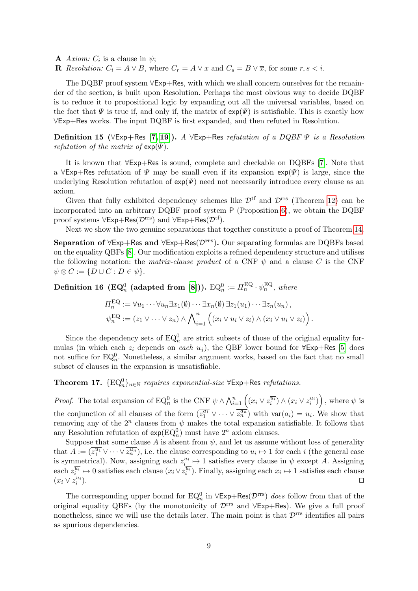- **A** *Axiom:*  $C_i$  is a clause in  $\psi$ ;
- **R** Resolution:  $C_i = A \vee B$ , where  $C_r = A \vee x$  and  $C_s = B \vee \overline{x}$ , for some  $r, s < i$ .

The DQBF proof system  $\forall$ Exp+Res, with which we shall concern ourselves for the remainder of the section, is built upon Resolution. Perhaps the most obvious way to decide DQBF is to reduce it to propositional logic by expanding out all the universal variables, based on the fact that  $\Psi$  is true if, and only if, the matrix of  $\exp(\Psi)$  is satisfiable. This is exactly how ∀Exp+Res works. The input DQBF is first expanded, and then refuted in Resolution.

Definition 15 ( $\forall$ Exp+Res [\[7,](#page-13-2) [19\]](#page-13-6)). A  $\forall$ Exp+Res refutation of a DQBF  $\Psi$  is a Resolution refutation of the matrix of  $\exp(\Psi)$ .

It is known that ∀Exp+Res is sound, complete and checkable on DQBFs [\[7\]](#page-13-2). Note that a  $\forall$ Exp+Res refutation of  $\Psi$  may be small even if its expansion  $exp(\Psi)$  is large, since the underlying Resolution refutation of  $exp(\Psi)$  need not necessarily introduce every clause as an axiom.

Given that fully exhibited dependency schemes like  $\mathcal{D}^{\text{tf}}$  and  $\mathcal{D}^{\text{rrs}}$  (Theorem [12\)](#page-7-2) can be incorporated into an arbitrary DQBF proof system P (Proposition [6\)](#page-4-2), we obtain the DQBF proof systems  $\forall$ Exp+Res( $\mathcal{D}^{rrs}$ ) and  $\forall$ Exp+Res( $\mathcal{D}^{tf}$ ).

Next we show the two genuine separations that together constitute a proof of Theorem [14.](#page-7-1)

Separation of  $\forall$ Exp+Res and  $\forall$ Exp+Res( $\mathcal{D}^{rrs}$ ). Our separating formulas are DQBFs based on the equality QBFs [\[8\]](#page-13-8). Our modification exploits a refined dependency structure and utilises the following notation: the matrix-clause product of a CNF  $\psi$  and a clause C is the CNF  $\psi \otimes C := \{ D \cup C : D \in \psi \}.$ 

<span id="page-8-2"></span>Definition 16 (EQ<sup>0</sup> (adapted from [\[8\]](#page-13-8))).  $\text{EQ}_n^0 := \varPi_n^{\text{EQ}} \cdot \psi_n^{\text{EQ}},$  where

$$
\Pi_n^{\text{EQ}} := \forall u_1 \cdots \forall u_n \exists x_1(\emptyset) \cdots \exists x_n(\emptyset) \exists z_1(u_1) \cdots \exists z_n(u_n),
$$
  

$$
\psi_n^{\text{EQ}} := (\overline{z_1} \vee \cdots \vee \overline{z_n}) \wedge \bigwedge_{i=1}^n \left( (\overline{x_i} \vee \overline{u_i} \vee z_i) \wedge (x_i \vee u_i \vee z_i) \right).
$$

Since the dependency sets of  $EQ_n^0$  are strict subsets of those of the original equality formulas (in which each  $z_i$  depends on each  $u_j$ ), the QBF lower bound for  $\forall \textsf{Exp+Res}$  [\[5\]](#page-13-12) does not suffice for  $EQ_n^0$ . Nonetheless, a similar argument works, based on the fact that no small subset of clauses in the expansion is unsatisfiable.

<span id="page-8-1"></span>**Theorem 17.**  $\{EQ_n^0\}_{n\in\mathbb{N}}$  requires exponential-size  $\forall$ Exp+Res refutations.

*Proof.* The total expansion of EQ<sub>n</sub><sup>0</sup> is the CNF  $\psi \wedge \bigwedge_{i=1}^{n} ((\overline{x_i} \vee z_i^{\overline{u_i}}) \wedge (x_i \vee z_i^{u_i}))$ , where  $\psi$  is the conjunction of all clauses of the form  $(\overline{z_1^{a_1}} \vee \cdots \vee \overline{z_n^{a_n}})$  with  $var(a_i) = u_i$ . We show that removing any of the  $2^n$  clauses from  $\psi$  makes the total expansion satisfiable. It follows that any Resolution refutation of  $\exp(\mathrm{EQ}_n^0)$  must have  $2^n$  axiom clauses.

Suppose that some clause A is absent from  $\psi$ , and let us assume without loss of generality that  $A := (\overline{z_1^{u_1}} \vee \cdots \vee \overline{z_n^{u_n}})$ , i.e. the clause corresponding to  $u_i \mapsto 1$  for each i (the general case is symmetrical). Now, assigning each  $z_{i}^{u_i} \mapsto 1$  satisfies every clause in  $\psi$  except A. Assigning each  $z_i^{\overline{u_i}} \mapsto 0$  satisfies each clause  $(\overline{x_i} \vee \overline{z_i^{\overline{u_i}}})$ . Finally, assigning each  $x_i \mapsto 1$  satisfies each clause  $(x_i \vee z_i^{u_i})$ ).  $\Box$ 

<span id="page-8-0"></span>The corresponding upper bound for  $EQ_n^0$  in  $\forall \textsf{Exp+Res}(\mathcal{D}^{\text{rrs}})$  does follow from that of the original equality QBFs (by the monotonicity of  $\mathcal{D}^{\text{rrs}}$  and  $\forall \text{Exp+Res}$ ). We give a full proof nonetheless, since we will use the details later. The main point is that  $\mathcal{D}^{\text{rrs}}$  identifies all pairs as spurious dependencies.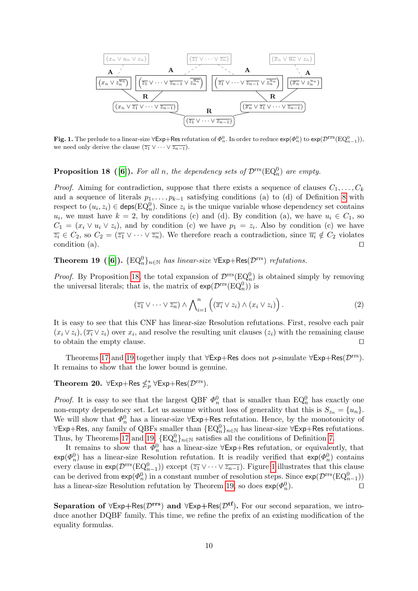

<span id="page-9-2"></span>Fig. 1. The prelude to a linear-size  $\forall$ Exp+Res refutation of  $\Phi_n^0$ . In order to reduce  $\exp(\Phi_n^0)$  to  $\exp(\mathcal{D}^{\text{rrs}}(\text{EQ}_{n-1}^0)),$ we need only derive the clause  $(\overline{z_1} \vee \cdots \vee \overline{z_{n-1}})$ .

## **Proposition 18** ([\[6\]](#page-13-10)). For all n, the dependency sets of  $\mathcal{D}^{rrs}(EQ_n^0)$  are empty.

*Proof.* Aiming for contradiction, suppose that there exists a sequence of clauses  $C_1, \ldots, C_k$ and a sequence of literals  $p_1, \ldots, p_{k-1}$  satisfying conditions (a) to (d) of Definition [8](#page-6-1) with respect to  $(u_i, z_i) \in \text{deps}(\text{EQ}_n^0)$ . Since  $z_i$  is the unique variable whose dependency set contains  $u_i$ , we must have  $k = 2$ , by conditions (c) and (d). By condition (a), we have  $u_i \in C_1$ , so  $C_1 = (x_i \vee u_i \vee z_i)$ , and by condition (c) we have  $p_1 = z_i$ . Also by condition (c) we have  $\overline{z_i} \in C_2$ , so  $C_2 = (\overline{z_1} \vee \cdots \vee \overline{z_n})$ . We therefore reach a contradiction, since  $\overline{u_i} \notin C_2$  violates condition (a).  $\Box$ 

<span id="page-9-1"></span>**Theorem 19** ([\[6\]](#page-13-10)).  $\{EQ_n^0\}_{n \in \mathbb{N}}$  has linear-size  $\forall \textsf{Exp+Res}(\mathcal{D}^{\text{rrs}})$  refutations.

*Proof.* By Proposition [18,](#page-8-0) the total expansion of  $\mathcal{D}^{rrs}(EQ_n^0)$  is obtained simply by removing the universal literals; that is, the matrix of  $\exp(\mathcal{D}^{rrs}(EQ_n^0))$  is

<span id="page-9-3"></span>
$$
(\overline{z_1} \vee \cdots \vee \overline{z_n}) \wedge \bigwedge_{i=1}^n ((\overline{x_i} \vee z_i) \wedge (x_i \vee z_i)).
$$
 (2)

It is easy to see that this CNF has linear-size Resolution refutations. First, resolve each pair  $(x_i \vee z_i),(\overline{x_i} \vee z_i)$  over  $x_i$ , and resolve the resulting unit clauses  $(z_i)$  with the remaining clause to obtain the empty clause.  $\Box$ 

Theorems [17](#page-8-1) and [19](#page-9-1) together imply that  $\forall \textsf{Exp+Res}$  does not p-simulate  $\forall \textsf{Exp+Res}(\mathcal{D}^{rrs})$ . It remains to show that the lower bound is genuine.

## <span id="page-9-0"></span>Theorem 20.  $\forall$ Exp+Res  $\not\leq^*_p \forall$ Exp+Res $(\mathcal{D}^{rrs})$ .

*Proof.* It is easy to see that the largest QBF  $\Phi_n^0$  that is smaller than  $EQ_n^0$  has exactly one non-empty dependency set. Let us assume without loss of generality that this is  $S_{z_n} = \{u_n\}.$ We will show that  $\Phi_n^0$  has a linear-size  $\forall$ Exp+Res refutation. Hence, by the monotonicity of  $\forall$ Exp+Res, any family of QBFs smaller than  $\{EQ^0_n\}_{n\in\mathbb{N}}$  has linear-size  $\forall$ Exp+Res refutations. Thus, by Theorems [17](#page-8-1) and [19,](#page-9-1)  $\{EQ_n^0\}_{n\in\mathbb{N}}$  satisfies all the conditions of Definition [7.](#page-5-1)

It remains to show that  $\Phi_n^0$  has a linear-size  $\forall \textsf{Exp+Res}$  refutation, or equivalently, that  $\exp(\Phi_n^0)$  has a linear-size Resolution refutation. It is readily verified that  $\exp(\Phi_n^0)$  contains every clause in  $exp(\mathcal{D}^{rrs}(EQ_{n-1}^0))$  except  $(\overline{z_1} \vee \cdots \vee \overline{z_{n-1}})$ . Figure [1](#page-9-2) illustrates that this clause can be derived from  $\exp(\Phi_n^0)$  in a constant number of resolution steps. Since  $\exp(\mathcal{D}^{\text{rrs}}(\text{EQ}_{n-1}^0))$ has a linear-size Resolution refutation by Theorem [19,](#page-9-1) so does  $\exp(\Phi_n^0)$ ).  $\qquad \qquad \Box$ 

<span id="page-9-4"></span>Separation of  $\forall$ Exp+Res( $\mathcal{D}^{rrs}$ ) and  $\forall$ Exp+Res( $\mathcal{D}^{tf}$ ). For our second separation, we introduce another DQBF family. This time, we refine the prefix of an existing modification of the equality formulas.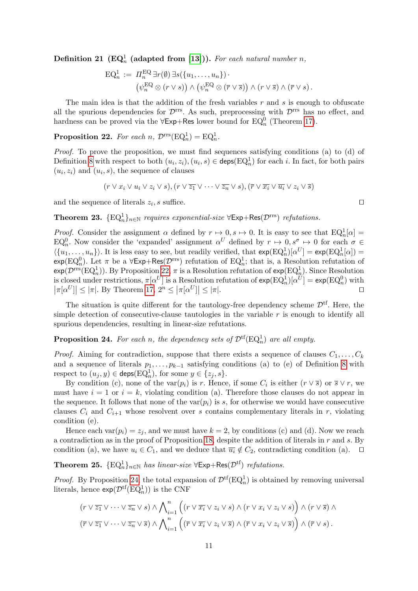Definition 21 (EQ<sub>n</sub> (adapted from [\[13\]](#page-13-9))). For each natural number n,

$$
\mathrm{EQ}_n^1 := \Pi_n^{\mathrm{EQ}} \exists r(\emptyset) \exists s (\{u_1, \ldots, u_n\}) \cdot \n\left(\psi_n^{\mathrm{EQ}} \otimes (r \vee s)\right) \wedge \left(\psi_n^{\mathrm{EQ}} \otimes (\overline{r} \vee \overline{s})\right) \wedge (r \vee \overline{s}) \wedge (\overline{r} \vee s).
$$

The main idea is that the addition of the fresh variables  $r$  and  $s$  is enough to obfuscate all the spurious dependencies for  $\mathcal{D}^{rrs}$ . As such, preprocessing with  $\mathcal{D}^{rrs}$  has no effect, and hardness can be proved via the  $\forall$ Exp+Res lower bound for EQ<sub>n</sub><sup>0</sup> (Theorem [17\)](#page-8-1).

<span id="page-10-0"></span>**Proposition 22.** For each n,  $\mathcal{D}^{rrs}(\mathrm{EQ}_n^1) = \mathrm{EQ}_n^1$ .

Proof. To prove the proposition, we must find sequences satisfying conditions (a) to (d) of Definition [8](#page-6-1) with respect to both  $(u_i, z_i), (u_i, s) \in \text{deps}(\text{EQ}_n^1)$  for each i. In fact, for both pairs  $(u_i, z_i)$  and  $(u_i, s)$ , the sequence of clauses

$$
(r \vee x_i \vee u_i \vee z_i \vee s), (r \vee \overline{z_1} \vee \cdots \vee \overline{z_n} \vee s), (\overline{r} \vee \overline{x_i} \vee \overline{u_i} \vee z_i \vee \overline{s})
$$

and the sequence of literals  $z_i$ , s suffice.

$$
\Box
$$

<span id="page-10-2"></span>**Theorem 23.**  $\{EQ_n^1\}_{n\in\mathbb{N}}$  requires exponential-size  $\forall$ Exp+Res $(\mathcal{D}^{rrs})$  refutations.

*Proof.* Consider the assignment  $\alpha$  defined by  $r \mapsto 0$ ,  $s \mapsto 0$ . It is easy to see that  $EQ_n^1[\alpha] =$ EQ<sub>n</sub>. Now consider the 'expanded' assignment  $\alpha^U$  defined by  $r \mapsto 0, s^{\sigma} \mapsto 0$  for each  $\sigma \in$  $\langle \{u_1, \ldots, u_n\} \rangle$ . It is less easy to see, but readily verified, that  $\exp(\mathrm{EQ}_n^1)[\alpha^U] = \exp(\mathrm{EQ}_n^1[\alpha]) =$  $\exp(\mathrm{EQ}_n^0)$ . Let  $\pi$  be a  $\forall \textsf{Exp+Res}(\mathcal{D}^{\text{rrs}})$  refutation of  $\mathrm{EQ}_n^1$ ; that is, a Resolution refutation of  $exp(\mathcal{D}^{rrs}(EQ_n^1))$ . By Proposition [22,](#page-10-0)  $\pi$  is a Resolution refutation of  $exp(EQ_n^1)$ . Since Resolution is closed under restrictions,  $\pi[\alpha^U]$  is a Resolution refutation of  $\exp(\mathrm{EQ}_n^1)[\alpha^U] = \exp(\mathrm{EQ}_n^0)$  with  $|\pi[\alpha^U]| \leq |\pi|$ . By Theorem [17,](#page-8-1)  $2^n \leq |\pi[\alpha^U]| \leq |\pi|$ .

The situation is quite different for the tautology-free dependency scheme  $\mathcal{D}^{tf}$ . Here, the simple detection of consecutive-clause tautologies in the variable  $r$  is enough to identify all spurious dependencies, resulting in linear-size refutations.

<span id="page-10-1"></span>**Proposition 24.** For each n, the dependency sets of  $\mathcal{D}^{tf}(EQ_n^1)$  are all empty.

*Proof.* Aiming for contradiction, suppose that there exists a sequence of clauses  $C_1, \ldots, C_k$ and a sequence of literals  $p_1, \ldots, p_{k-1}$  satisfying conditions (a) to (e) of Definition [8](#page-6-1) with respect to  $(u_j, y) \in \mathsf{deps}(\mathrm{EQ}_n^1)$ , for some  $y \in \{z_j, s\}.$ 

By condition (c), none of the var $(p_i)$  is r. Hence, if some  $C_i$  is either  $(r \vee \overline{s})$  or  $\overline{s} \vee r$ , we must have  $i = 1$  or  $i = k$ , violating condition (a). Therefore those clauses do not appear in the sequence. It follows that none of the  $var(p_i)$  is s, for otherwise we would have consecutive clauses  $C_i$  and  $C_{i+1}$  whose resolvent over s contains complementary literals in r, violating condition (e).

Hence each  $var(p_i) = z_j$ , and we must have  $k = 2$ , by conditions (c) and (d). Now we reach a contradiction as in the proof of Proposition [18,](#page-8-0) despite the addition of literals in  $r$  and  $s$ . By condition (a), we have  $u_i \in C_1$ , and we deduce that  $\overline{u_i} \notin C_2$ , contradicting condition (a).  $\Box$ 

<span id="page-10-3"></span>**Theorem 25.**  $\{EQ_n^1\}_{n \in \mathbb{N}}$  has linear-size  $\forall \text{Exp+Res}(\mathcal{D}^{tf})$  refutations.

*Proof.* By Proposition [24,](#page-10-1) the total expansion of  $\mathcal{D}^{tf}(EQ_n^1)$  is obtained by removing universal literals, hence  $\exp(\mathcal{D}^{\mathrm{tf}}(\mathrm{EQ}_n^1))$  is the CNF

$$
(r \vee \overline{z_1} \vee \cdots \vee \overline{z_n} \vee s) \wedge \bigwedge_{i=1}^n ((r \vee \overline{x_i} \vee z_i \vee s) \wedge (r \vee x_i \vee z_i \vee s)) \wedge (r \vee \overline{s}) \wedge (r \vee \overline{z_1} \vee \cdots \vee \overline{z_n} \vee \overline{s}) \wedge \bigwedge_{i=1}^n ((\overline{r} \vee \overline{x_i} \vee z_i \vee \overline{s}) \wedge (\overline{r} \vee x_i \vee z_i \vee \overline{s})) \wedge (\overline{r} \vee s).
$$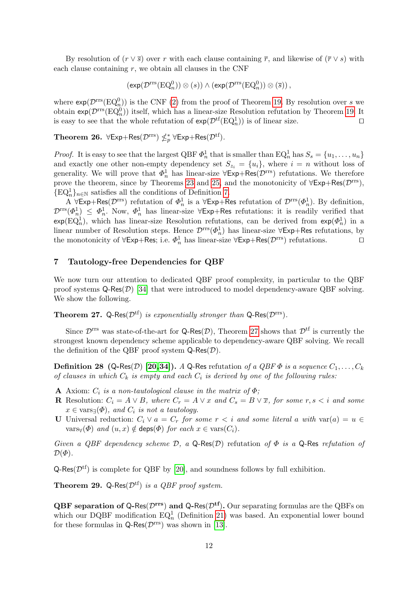By resolution of  $(r \vee \overline{s})$  over r with each clause containing  $\overline{r}$ , and likewise of  $(\overline{r} \vee s)$  with each clause containing  $r$ , we obtain all clauses in the CNF

$$
\left(\exp(\mathcal{D}^{rrs}(\mathrm{EQ}_n^0))\otimes(s)\right)\wedge\left(\exp(\mathcal{D}^{rrs}(\mathrm{EQ}_n^0))\otimes(\overline{s})\right),
$$

where  $exp(\mathcal{D}^{rrs}(EQ_n^0))$  is the CNF [\(2\)](#page-9-3) from the proof of Theorem [19.](#page-9-1) By resolution over s we obtain  $\exp(\mathcal{D}^{\text{rrs}}(\text{EQ}_n^0))$  itself, which has a linear-size Resolution refutation by Theorem [19.](#page-9-1) It is easy to see that the whole refutation of  $exp(\mathcal{D}^{tf}(EQ_n^1))$  is of linear size.

<span id="page-11-1"></span>**Theorem 26.**  $\forall$ Exp+Res( $\mathcal{D}^{rrs}$ )  $\nleq^*_{p}$   $\forall$ Exp+Res( $\mathcal{D}^{tf}$ ).

*Proof.* It is easy to see that the largest QBF  $\Phi_n^1$  that is smaller than  $EQ_n^1$  has  $S_s = \{u_1, \ldots, u_n\}$ and exactly one other non-empty dependency set  $S_{z_i} = \{u_i\}$ , where  $i = n$  without loss of generality. We will prove that  $\Phi_n^1$  has linear-size  $\forall \textsf{Exp+Res}(\mathcal{D}^{\text{rrs}})$  refutations. We therefore prove the theorem, since by Theorems [23](#page-10-2) and [25,](#page-10-3) and the monotonicity of  $\forall \text{Exp+Res}(\mathcal{D}^{\text{rrs}})$ ,  ${EQ<sub>n</sub><sup>1</sup>}_{n \in \mathbb{N}}$  satisfies all the conditions of Definition [7.](#page-5-1)

A  $\forall$ Exp+Res $(\mathcal{D}^{rrs})$  refutation of  $\Phi_n^1$  is a  $\forall$ Exp+Res refutation of  $\mathcal{D}^{rrs}(\Phi_n^1)$ . By definition,  $\mathcal{D}^{\text{rrs}}(\Phi_n^1) \leq \Phi_n^1$ . Now,  $\Phi_n^1$  has linear-size  $\forall \textsf{Exp+Res}$  refutations: it is readily verified that  $exp(EQ_n^1)$ , which has linear-size Resolution refutations, can be derived from  $exp(\Phi_n^1)$  in a linear number of Resolution steps. Hence  $\mathcal{D}^{rrs}(\Phi_n^1)$  has linear-size  $\forall \textsf{Exp+Res}$  refutations, by the monotonicity of  $\forall \textsf{Exp+Res}$ ; i.e.  $\Phi_n^1$  has linear-size  $\forall \textsf{Exp+Res}(\mathcal{D}^{rrs})$  refutations.

#### <span id="page-11-0"></span>7 Tautology-free Dependencies for QBF

We now turn our attention to dedicated QBF proof complexity, in particular to the QBF proof systems  $Q$ -Res $(D)$  [\[34\]](#page--1-18) that were introduced to model dependency-aware QBF solving. We show the following.

<span id="page-11-2"></span>**Theorem 27.** Q-Res $(\mathcal{D}^{tf})$  is exponentially stronger than Q-Res $(\mathcal{D}^{rrs})$ .

Since  $\mathcal{D}^{\text{rrs}}$  was state-of-the-art for Q-Res $(\mathcal{D})$ , Theorem [27](#page-11-2) shows that  $\mathcal{D}^{\text{tf}}$  is currently the strongest known dependency scheme applicable to dependency-aware QBF solving. We recall the definition of the QBF proof system  $\mathsf{Q}\text{-}\mathsf{Res}(\mathcal{D})$ .

**Definition 28 (Q-Res**(D) [\[20,](#page-13-13)[34\]](#page--1-18)). A Q-Res refutation of a QBF  $\Phi$  is a sequence  $C_1, \ldots, C_k$ of clauses in which  $C_k$  is empty and each  $C_i$  is derived by one of the following rules:

- A Axiom:  $C_i$  is a non-tautological clause in the matrix of  $\Phi$ ;
- R Resolution:  $C_i = A \vee B$ , where  $C_r = A \vee x$  and  $C_s = B \vee \overline{x}$ , for some r, s  $\lt i$  and some  $x \in \text{vars}_{\exists}(\Phi)$ , and  $C_i$  is not a tautology.
- U Universal reduction:  $C_i \vee a = C_r$  for some  $r < i$  and some literal a with  $var(a) = u \in$  $\text{vars}_{\forall}(\Phi)$  and  $(u, x) \notin \text{deps}(\Phi)$  for each  $x \in \text{vars}(C_i)$ .

Given a QBF dependency scheme  $D$ , a Q-Res(D) refutation of  $\Phi$  is a Q-Res refutation of  $\mathcal{D}(\Phi)$ .

 $Q$ -Res( $\mathcal{D}^{tf}$ ) is complete for QBF by [\[20\]](#page-13-13), and soundness follows by full exhibition.

**Theorem 29.** Q-Res $(\mathcal{D}^{tf})$  is a *QBF proof system*.

**QBF** separation of Q-Res( $\mathcal{D}^{\text{rrs}}$ ) and Q-Res( $\mathcal{D}^{\text{tf}}$ ). Our separating formulas are the QBFs on which our DQBF modification  $EQ_n^1$  (Definition [21\)](#page-9-4) was based. An exponential lower bound for these formulas in  $\mathsf{Q}\text{-}\mathsf{Res}(\mathcal{D}^\text{rrs})$  was shown in [\[13\]](#page-13-9).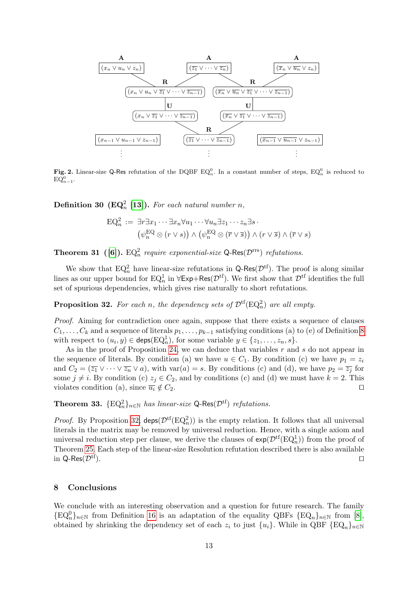

<span id="page-12-1"></span>Fig. 2. Linear-size Q-Res refutation of the DQBF  $EQ_n^0$ . In a constant number of steps,  $EQ_n^0$  is reduced to  $EQ_{n-1}^0$ .

**Definition 30 (EQ**<sub>n</sub><sup>2</sup> [\[13\]](#page-13-9)). For each natural number n,

$$
\mathrm{EQ}_n^2 := \exists r \exists x_1 \cdots \exists x_n \forall u_1 \cdots \forall u_n \exists z_1 \cdots z_n \exists s \cdot (\psi_n^{\mathrm{EQ}} \otimes (r \vee s)) \wedge (\psi_n^{\mathrm{EQ}} \otimes (\overline{r} \vee \overline{s})) \wedge (r \vee \overline{s}) \wedge (\overline{r} \vee s)
$$

**Theorem 31** ([\[6\]](#page-13-10)).  $EQ_n^2$  require exponential-size Q-Res( $\mathcal{D}^{\text{rrs}}$ ) refutations.

We show that  $EQ_n^2$  have linear-size refutations in Q-Res( $\mathcal{D}^{tf}$ ). The proof is along similar lines as our upper bound for  $EQ_n^1$  in  $\forall \textsf{Exp+Res}(\mathcal{D}^{tf})$ . We first show that  $\mathcal{D}^{tf}$  identifies the full set of spurious dependencies, which gives rise naturally to short refutations.

<span id="page-12-0"></span>**Proposition 32.** For each n, the dependency sets of  $\mathcal{D}^{tf}(EQ_n^2)$  are all empty.

Proof. Aiming for contradiction once again, suppose that there exists a sequence of clauses  $C_1, \ldots, C_k$  and a sequence of literals  $p_1, \ldots, p_{k-1}$  satisfying conditions (a) to (e) of Definition [8](#page-6-1) with respect to  $(u_i, y) \in \mathsf{deps}(\mathrm{EQ}_n^1)$ , for some variable  $y \in \{z_1, \ldots, z_n, s\}$ .

As in the proof of Proposition [24,](#page-10-1) we can deduce that variables r and s do not appear in the sequence of literals. By condition (a) we have  $u \in C_1$ . By condition (c) we have  $p_1 = z_i$ and  $C_2 = (\overline{z_1} \vee \cdots \vee \overline{z_n} \vee a)$ , with var $(a) = s$ . By conditions (c) and (d), we have  $p_2 = \overline{z_j}$  for some  $j \neq i$ . By condition (c)  $z_j \in C_2$ , and by conditions (c) and (d) we must have  $k = 2$ . This violates condition (a), since  $\overline{u_i} \notin C_2$ .

**Theorem 33.**  $\{EQ_n^2\}_{n\in\mathbb{N}}$  has linear-size Q-Res $(\mathcal{D}^{tf})$  refutations.

*Proof.* By Proposition [32,](#page-12-0)  $\text{deps}(\mathcal{D}^{tf}(EQ_n^2))$  is the empty relation. It follows that all universal literals in the matrix may be removed by universal reduction. Hence, with a single axiom and universal reduction step per clause, we derive the clauses of  $exp(\mathcal{D}^{tf}(EQ_n^1))$  from the proof of Theorem [25.](#page-10-3) Each step of the linear-size Resolution refutation described there is also available in Q-Res( $\mathcal{D}^{\text{tf}}$ ).

#### 8 Conclusions

We conclude with an interesting observation and a question for future research. The family  ${EQ<sub>n</sub><sup>0</sup>}_{n \in \mathbb{N}}$  from Definition [16](#page-8-2) is an adaptation of the equality QBFs  ${EQ<sub>n</sub>}_{n \in \mathbb{N}}$  from [\[8\]](#page-13-8), obtained by shrinking the dependency set of each  $z_i$  to just  $\{u_i\}$ . While in QBF  $\{EQ_n\}_{n\in\mathbb{N}}$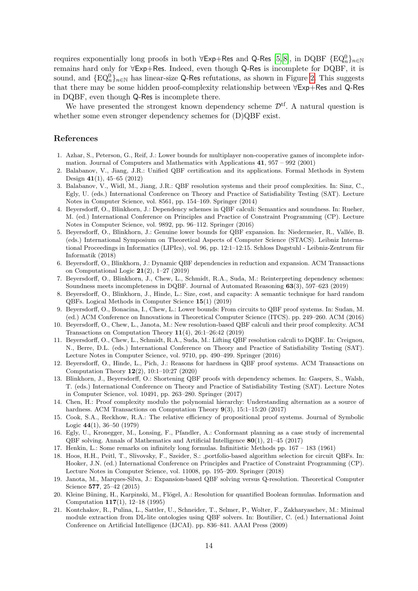requires exponentially long proofs in both  $\forall \textsf{Exp+Res}$  and Q-Res  $[5,8]$  $[5,8]$ , in DQBF  $\{\text{EQ}_n^0\}_{n\in\mathbb{N}}$ remains hard only for ∀Exp+Res. Indeed, even though Q-Res is incomplete for DQBF, it is sound, and  $\{EQ_n^0\}_{n\in\mathbb{N}}$  has linear-size Q-Res refutations, as shown in Figure [2.](#page-12-1) This suggests that there may be some hidden proof-complexity relationship between ∀Exp+Res and Q-Res in DQBF, even though Q-Res is incomplete there.

We have presented the strongest known dependency scheme  $\mathcal{D}^{tf}$ . A natural question is whether some even stronger dependency schemes for (D)QBF exist.

#### References

- <span id="page-13-1"></span>1. Azhar, S., Peterson, G., Reif, J.: Lower bounds for multiplayer non-cooperative games of incomplete information. Journal of Computers and Mathematics with Applications 41, 957 – 992 (2001)
- 2. Balabanov, V., Jiang, J.R.: Unified QBF certification and its applications. Formal Methods in System Design 41(1), 45–65 (2012)
- 3. Balabanov, V., Widl, M., Jiang, J.R.: QBF resolution systems and their proof complexities. In: Sinz, C., Egly, U. (eds.) International Conference on Theory and Practice of Satisfiability Testing (SAT). Lecture Notes in Computer Science, vol. 8561, pp. 154–169. Springer (2014)
- <span id="page-13-3"></span>4. Beyersdorff, O., Blinkhorn, J.: Dependency schemes in QBF calculi: Semantics and soundness. In: Rueher, M. (ed.) International Conference on Principles and Practice of Constraint Programming (CP). Lecture Notes in Computer Science, vol. 9892, pp. 96–112. Springer (2016)
- <span id="page-13-12"></span>5. Beyersdorff, O., Blinkhorn, J.: Genuine lower bounds for QBF expansion. In: Niedermeier, R., Vallée, B. (eds.) International Symposium on Theoretical Aspects of Computer Science (STACS). Leibniz International Proceedings in Informatics (LIPIcs), vol. 96, pp. 12:1–12:15. Schloss Dagstuhl - Leibniz-Zentrum für Informatik (2018)
- <span id="page-13-10"></span>6. Beyersdorff, O., Blinkhorn, J.: Dynamic QBF dependencies in reduction and expansion. ACM Transactions on Computational Logic 21(2), 1–27 (2019)
- <span id="page-13-2"></span>7. Beyersdorff, O., Blinkhorn, J., Chew, L., Schmidt, R.A., Suda, M.: Reinterpreting dependency schemes: Soundness meets incompleteness in DQBF. Journal of Automated Reasoning 63(3), 597–623 (2019)
- <span id="page-13-8"></span>8. Beyersdorff, O., Blinkhorn, J., Hinde, L.: Size, cost, and capacity: A semantic technique for hard random QBFs. Logical Methods in Computer Science 15(1) (2019)
- 9. Beyersdorff, O., Bonacina, I., Chew, L.: Lower bounds: From circuits to QBF proof systems. In: Sudan, M. (ed.) ACM Conference on Innovations in Theoretical Computer Science (ITCS). pp. 249–260. ACM (2016)
- 10. Beyersdorff, O., Chew, L., Janota, M.: New resolution-based QBF calculi and their proof complexity. ACM Transactions on Computation Theory 11(4), 26:1–26:42 (2019)
- <span id="page-13-7"></span>11. Beyersdorff, O., Chew, L., Schmidt, R.A., Suda, M.: Lifting QBF resolution calculi to DQBF. In: Creignou, N., Berre, D.L. (eds.) International Conference on Theory and Practice of Satisfiability Testing (SAT). Lecture Notes in Computer Science, vol. 9710, pp. 490–499. Springer (2016)
- <span id="page-13-4"></span>12. Beyersdorff, O., Hinde, L., Pich, J.: Reasons for hardness in QBF proof systems. ACM Transactions on Computation Theory 12(2), 10:1–10:27 (2020)
- <span id="page-13-9"></span>13. Blinkhorn, J., Beyersdorff, O.: Shortening QBF proofs with dependency schemes. In: Gaspers, S., Walsh, T. (eds.) International Conference on Theory and Practice of Satisfiability Testing (SAT). Lecture Notes in Computer Science, vol. 10491, pp. 263–280. Springer (2017)
- <span id="page-13-5"></span>14. Chen, H.: Proof complexity modulo the polynomial hierarchy: Understanding alternation as a source of hardness. ACM Transactions on Computation Theory  $9(3)$ , 15:1-15:20 (2017)
- <span id="page-13-11"></span>15. Cook, S.A., Reckhow, R.A.: The relative efficiency of propositional proof systems. Journal of Symbolic Logic 44(1), 36–50 (1979)
- 16. Egly, U., Kronegger, M., Lonsing, F., Pfandler, A.: Conformant planning as a case study of incremental QBF solving. Annals of Mathematics and Artificial Intelligence 80(1), 21–45 (2017)
- <span id="page-13-0"></span>17. Henkin, L.: Some remarks on infinitely long formulas. Infinitistic Methods pp. 167 – 183 (1961)
- 18. Hoos, H.H., Peitl, T., Slivovsky, F., Szeider, S.: ,portfolio-based algorithm selection for circuit QBFs. In: Hooker, J.N. (ed.) International Conference on Principles and Practice of Constraint Programming (CP). Lecture Notes in Computer Science, vol. 11008, pp. 195–209. Springer (2018)
- <span id="page-13-6"></span>19. Janota, M., Marques-Silva, J.: Expansion-based QBF solving versus Q-resolution. Theoretical Computer Science 577, 25–42 (2015)
- <span id="page-13-13"></span>20. Kleine Büning, H., Karpinski, M., Flögel, A.: Resolution for quantified Boolean formulas. Information and Computation 117(1), 12–18 (1995)
- 21. Kontchakov, R., Pulina, L., Sattler, U., Schneider, T., Selmer, P., Wolter, F., Zakharyaschev, M.: Minimal module extraction from DL-lite ontologies using QBF solvers. In: Boutilier, C. (ed.) International Joint Conference on Artificial Intelligence (IJCAI). pp. 836–841. AAAI Press (2009)